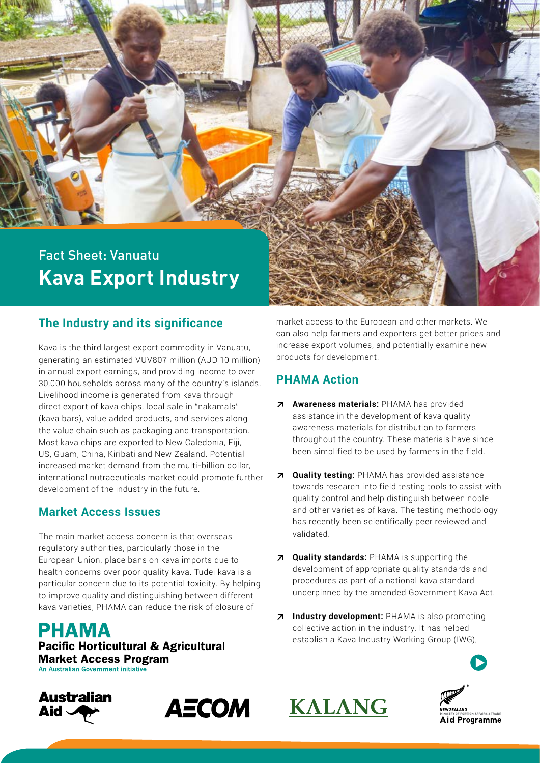# Fact Sheet: Vanuatu **Kava Export Industry**

# **The Industry and its significance**

Kava is the third largest export commodity in Vanuatu, generating an estimated VUV807 million (AUD 10 million) in annual export earnings, and providing income to over 30,000 households across many of the country's islands. Livelihood income is generated from kava through direct export of kava chips, local sale in "nakamals" (kava bars), value added products, and services along the value chain such as packaging and transportation. Most kava chips are exported to New Caledonia, Fiji, US, Guam, China, Kiribati and New Zealand. Potential increased market demand from the multi-billion dollar, international nutraceuticals market could promote further development of the industry in the future.

### **Market Access Issues**

The main market access concern is that overseas regulatory authorities, particularly those in the European Union, place bans on kava imports due to health concerns over poor quality kava. Tudei kava is a particular concern due to its potential toxicity. By helping to improve quality and distinguishing between different kava varieties, PHAMA can reduce the risk of closure of

**PHAMA Pacific Horticultural & Agricultural Market Access Program** An Australian Government initiative





market access to the European and other markets. We can also help farmers and exporters get better prices and increase export volumes, and potentially examine new products for development.

## **PHAMA Action**

- **↗ Awareness materials:** PHAMA has provided assistance in the development of kava quality awareness materials for distribution to farmers throughout the country. These materials have since been simplified to be used by farmers in the field.
- **↗ Quality testing:** PHAMA has provided assistance towards research into field testing tools to assist with quality control and help distinguish between noble and other varieties of kava. The testing methodology has recently been scientifically peer reviewed and validated.
- **↗ Quality standards:** PHAMA is supporting the development of appropriate quality standards and procedures as part of a national kava standard underpinned by the amended Government Kava Act.
- **↗ Industry development:** PHAMA is also promoting collective action in the industry. It has helped establish a Kava Industry Working Group (IWG),